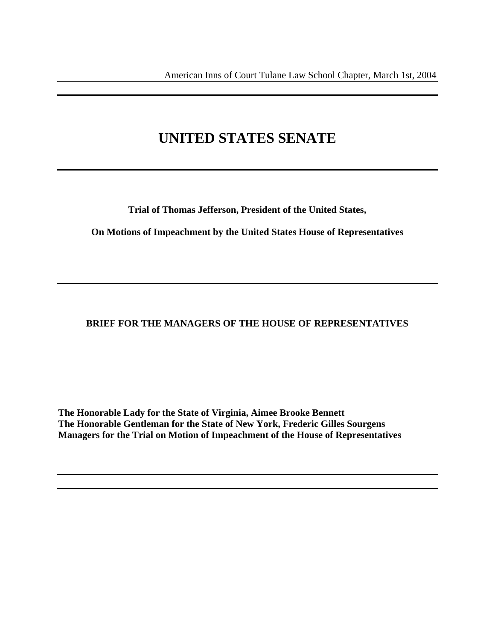# **UNITED STATES SENATE**

**Trial of Thomas Jefferson, President of the United States,** 

**On Motions of Impeachment by the United States House of Representatives** 

# **BRIEF FOR THE MANAGERS OF THE HOUSE OF REPRESENTATIVES**

**The Honorable Lady for the State of Virginia, Aimee Brooke Bennett The Honorable Gentleman for the State of New York, Frederic Gilles Sourgens Managers for the Trial on Motion of Impeachment of the House of Representatives**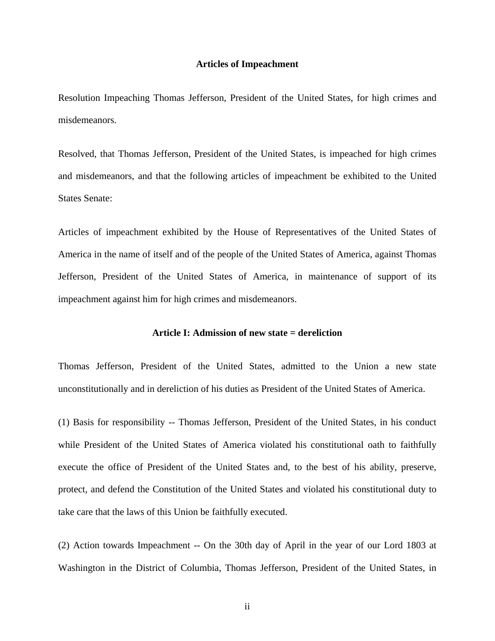### **Articles of Impeachment**

Resolution Impeaching Thomas Jefferson, President of the United States, for high crimes and misdemeanors.

Resolved, that Thomas Jefferson, President of the United States, is impeached for high crimes and misdemeanors, and that the following articles of impeachment be exhibited to the United States Senate:

Articles of impeachment exhibited by the House of Representatives of the United States of America in the name of itself and of the people of the United States of America, against Thomas Jefferson, President of the United States of America, in maintenance of support of its impeachment against him for high crimes and misdemeanors.

#### **Article I: Admission of new state = dereliction**

Thomas Jefferson, President of the United States, admitted to the Union a new state unconstitutionally and in dereliction of his duties as President of the United States of America.

(1) Basis for responsibility -- Thomas Jefferson, President of the United States, in his conduct while President of the United States of America violated his constitutional oath to faithfully execute the office of President of the United States and, to the best of his ability, preserve, protect, and defend the Constitution of the United States and violated his constitutional duty to take care that the laws of this Union be faithfully executed.

(2) Action towards Impeachment -- On the 30th day of April in the year of our Lord 1803 at Washington in the District of Columbia, Thomas Jefferson, President of the United States, in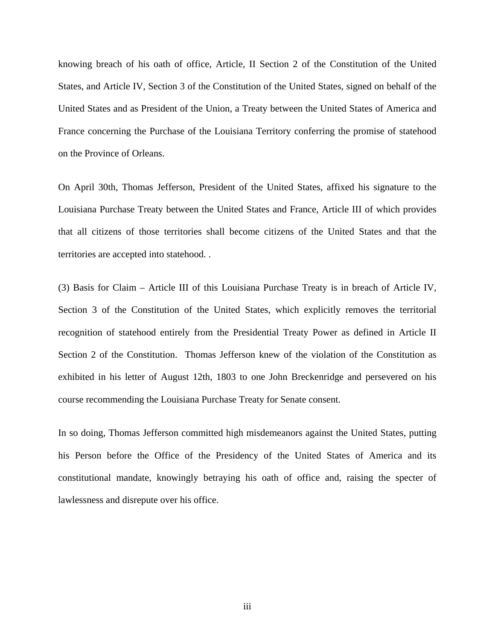knowing breach of his oath of office, Article, II Section 2 of the Constitution of the United States, and Article IV, Section 3 of the Constitution of the United States, signed on behalf of the United States and as President of the Union, a Treaty between the United States of America and France concerning the Purchase of the Louisiana Territory conferring the promise of statehood on the Province of Orleans.

On April 30th, Thomas Jefferson, President of the United States, affixed his signature to the Louisiana Purchase Treaty between the United States and France, Article III of which provides that all citizens of those territories shall become citizens of the United States and that the territories are accepted into statehood. .

(3) Basis for Claim – Article III of this Louisiana Purchase Treaty is in breach of Article IV, Section 3 of the Constitution of the United States, which explicitly removes the territorial recognition of statehood entirely from the Presidential Treaty Power as defined in Article II Section 2 of the Constitution. Thomas Jefferson knew of the violation of the Constitution as exhibited in his letter of August 12th, 1803 to one John Breckenridge and persevered on his course recommending the Louisiana Purchase Treaty for Senate consent.

In so doing, Thomas Jefferson committed high misdemeanors against the United States, putting his Person before the Office of the Presidency of the United States of America and its constitutional mandate, knowingly betraying his oath of office and, raising the specter of lawlessness and disrepute over his office.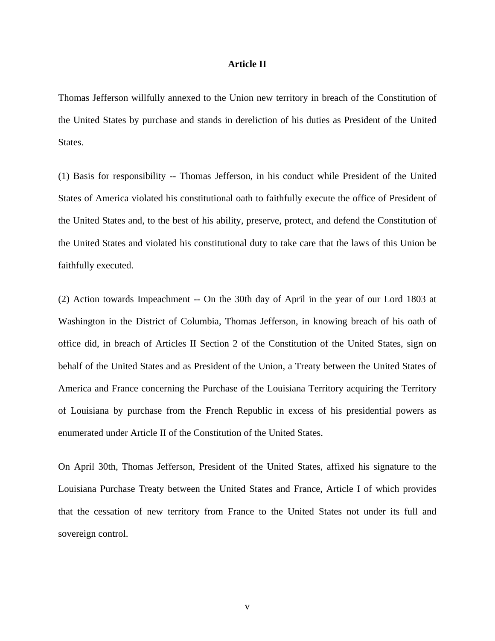#### **Article II**

Thomas Jefferson willfully annexed to the Union new territory in breach of the Constitution of the United States by purchase and stands in dereliction of his duties as President of the United States.

(1) Basis for responsibility -- Thomas Jefferson, in his conduct while President of the United States of America violated his constitutional oath to faithfully execute the office of President of the United States and, to the best of his ability, preserve, protect, and defend the Constitution of the United States and violated his constitutional duty to take care that the laws of this Union be faithfully executed.

(2) Action towards Impeachment -- On the 30th day of April in the year of our Lord 1803 at Washington in the District of Columbia, Thomas Jefferson, in knowing breach of his oath of office did, in breach of Articles II Section 2 of the Constitution of the United States, sign on behalf of the United States and as President of the Union, a Treaty between the United States of America and France concerning the Purchase of the Louisiana Territory acquiring the Territory of Louisiana by purchase from the French Republic in excess of his presidential powers as enumerated under Article II of the Constitution of the United States.

On April 30th, Thomas Jefferson, President of the United States, affixed his signature to the Louisiana Purchase Treaty between the United States and France, Article I of which provides that the cessation of new territory from France to the United States not under its full and sovereign control.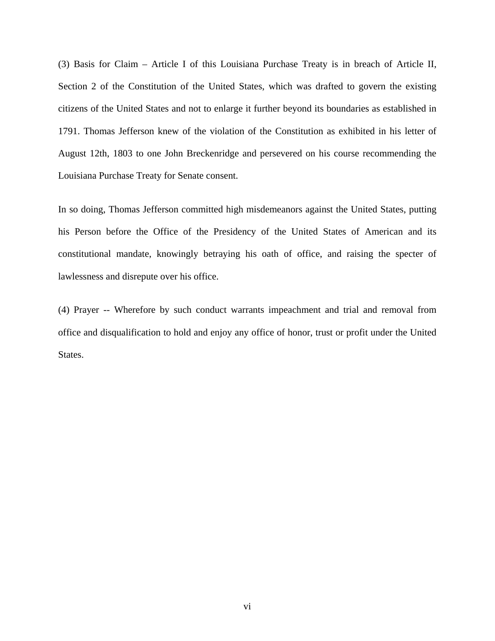(3) Basis for Claim – Article I of this Louisiana Purchase Treaty is in breach of Article II, Section 2 of the Constitution of the United States, which was drafted to govern the existing citizens of the United States and not to enlarge it further beyond its boundaries as established in 1791. Thomas Jefferson knew of the violation of the Constitution as exhibited in his letter of August 12th, 1803 to one John Breckenridge and persevered on his course recommending the Louisiana Purchase Treaty for Senate consent.

In so doing, Thomas Jefferson committed high misdemeanors against the United States, putting his Person before the Office of the Presidency of the United States of American and its constitutional mandate, knowingly betraying his oath of office, and raising the specter of lawlessness and disrepute over his office.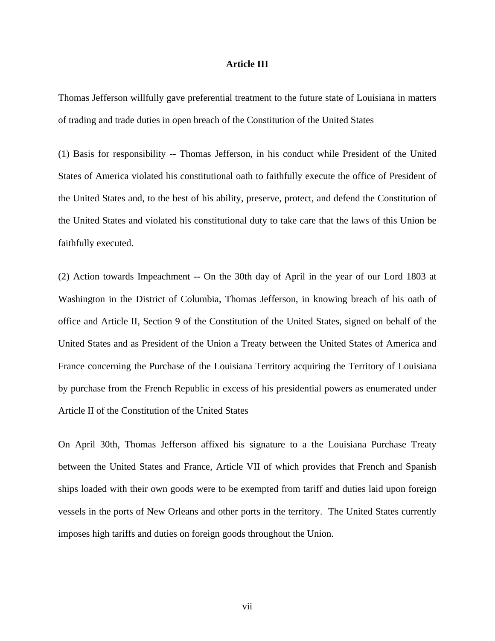#### **Article III**

Thomas Jefferson willfully gave preferential treatment to the future state of Louisiana in matters of trading and trade duties in open breach of the Constitution of the United States

(1) Basis for responsibility -- Thomas Jefferson, in his conduct while President of the United States of America violated his constitutional oath to faithfully execute the office of President of the United States and, to the best of his ability, preserve, protect, and defend the Constitution of the United States and violated his constitutional duty to take care that the laws of this Union be faithfully executed.

(2) Action towards Impeachment -- On the 30th day of April in the year of our Lord 1803 at Washington in the District of Columbia, Thomas Jefferson, in knowing breach of his oath of office and Article II, Section 9 of the Constitution of the United States, signed on behalf of the United States and as President of the Union a Treaty between the United States of America and France concerning the Purchase of the Louisiana Territory acquiring the Territory of Louisiana by purchase from the French Republic in excess of his presidential powers as enumerated under Article II of the Constitution of the United States

On April 30th, Thomas Jefferson affixed his signature to a the Louisiana Purchase Treaty between the United States and France, Article VII of which provides that French and Spanish ships loaded with their own goods were to be exempted from tariff and duties laid upon foreign vessels in the ports of New Orleans and other ports in the territory. The United States currently imposes high tariffs and duties on foreign goods throughout the Union.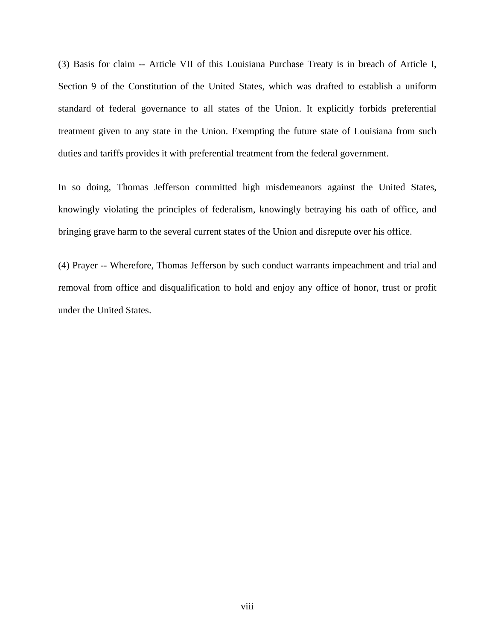(3) Basis for claim -- Article VII of this Louisiana Purchase Treaty is in breach of Article I, Section 9 of the Constitution of the United States, which was drafted to establish a uniform standard of federal governance to all states of the Union. It explicitly forbids preferential treatment given to any state in the Union. Exempting the future state of Louisiana from such duties and tariffs provides it with preferential treatment from the federal government.

In so doing, Thomas Jefferson committed high misdemeanors against the United States, knowingly violating the principles of federalism, knowingly betraying his oath of office, and bringing grave harm to the several current states of the Union and disrepute over his office.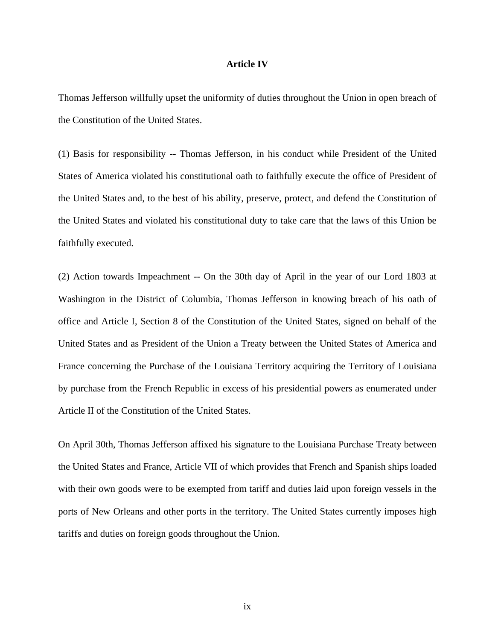#### **Article IV**

Thomas Jefferson willfully upset the uniformity of duties throughout the Union in open breach of the Constitution of the United States.

(1) Basis for responsibility -- Thomas Jefferson, in his conduct while President of the United States of America violated his constitutional oath to faithfully execute the office of President of the United States and, to the best of his ability, preserve, protect, and defend the Constitution of the United States and violated his constitutional duty to take care that the laws of this Union be faithfully executed.

(2) Action towards Impeachment -- On the 30th day of April in the year of our Lord 1803 at Washington in the District of Columbia, Thomas Jefferson in knowing breach of his oath of office and Article I, Section 8 of the Constitution of the United States, signed on behalf of the United States and as President of the Union a Treaty between the United States of America and France concerning the Purchase of the Louisiana Territory acquiring the Territory of Louisiana by purchase from the French Republic in excess of his presidential powers as enumerated under Article II of the Constitution of the United States.

On April 30th, Thomas Jefferson affixed his signature to the Louisiana Purchase Treaty between the United States and France, Article VII of which provides that French and Spanish ships loaded with their own goods were to be exempted from tariff and duties laid upon foreign vessels in the ports of New Orleans and other ports in the territory. The United States currently imposes high tariffs and duties on foreign goods throughout the Union.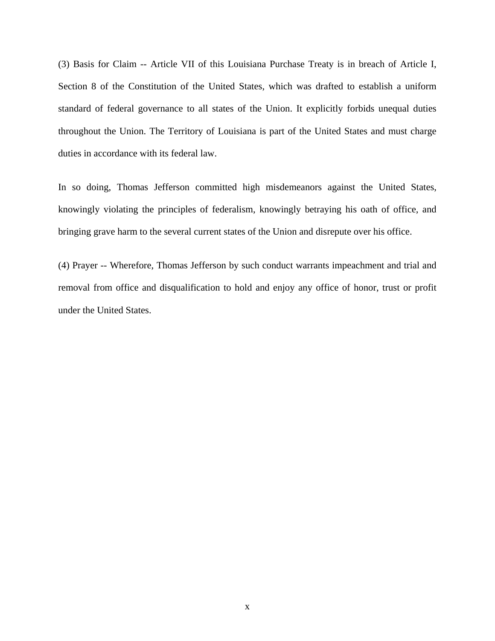(3) Basis for Claim -- Article VII of this Louisiana Purchase Treaty is in breach of Article I, Section 8 of the Constitution of the United States, which was drafted to establish a uniform standard of federal governance to all states of the Union. It explicitly forbids unequal duties throughout the Union. The Territory of Louisiana is part of the United States and must charge duties in accordance with its federal law.

In so doing, Thomas Jefferson committed high misdemeanors against the United States, knowingly violating the principles of federalism, knowingly betraying his oath of office, and bringing grave harm to the several current states of the Union and disrepute over his office.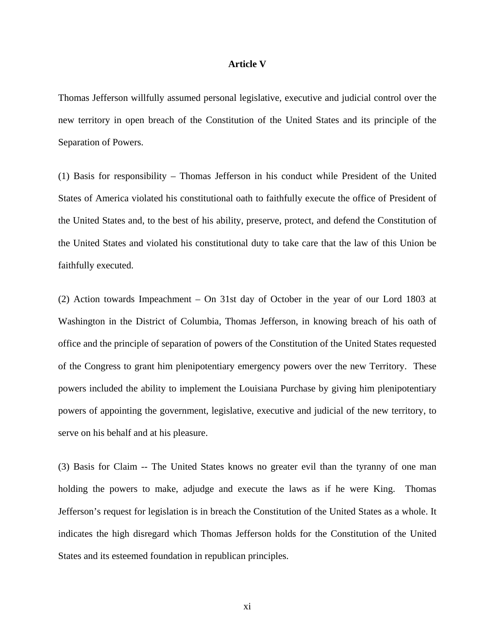#### **Article V**

Thomas Jefferson willfully assumed personal legislative, executive and judicial control over the new territory in open breach of the Constitution of the United States and its principle of the Separation of Powers.

(1) Basis for responsibility – Thomas Jefferson in his conduct while President of the United States of America violated his constitutional oath to faithfully execute the office of President of the United States and, to the best of his ability, preserve, protect, and defend the Constitution of the United States and violated his constitutional duty to take care that the law of this Union be faithfully executed.

(2) Action towards Impeachment – On 31st day of October in the year of our Lord 1803 at Washington in the District of Columbia, Thomas Jefferson, in knowing breach of his oath of office and the principle of separation of powers of the Constitution of the United States requested of the Congress to grant him plenipotentiary emergency powers over the new Territory. These powers included the ability to implement the Louisiana Purchase by giving him plenipotentiary powers of appointing the government, legislative, executive and judicial of the new territory, to serve on his behalf and at his pleasure.

(3) Basis for Claim -- The United States knows no greater evil than the tyranny of one man holding the powers to make, adjudge and execute the laws as if he were King. Thomas Jefferson's request for legislation is in breach the Constitution of the United States as a whole. It indicates the high disregard which Thomas Jefferson holds for the Constitution of the United States and its esteemed foundation in republican principles.

xi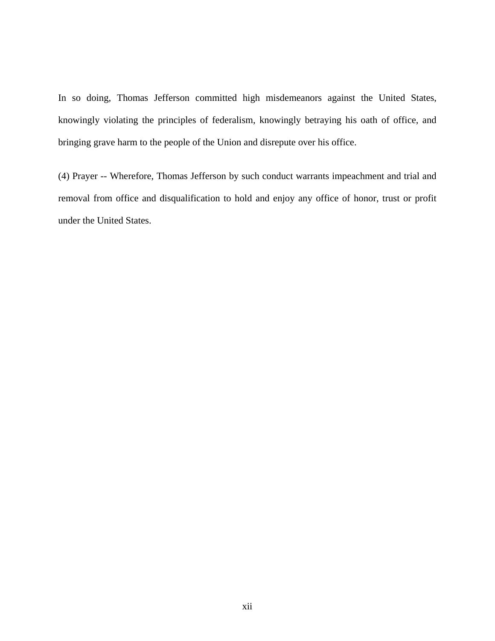In so doing, Thomas Jefferson committed high misdemeanors against the United States, knowingly violating the principles of federalism, knowingly betraying his oath of office, and bringing grave harm to the people of the Union and disrepute over his office.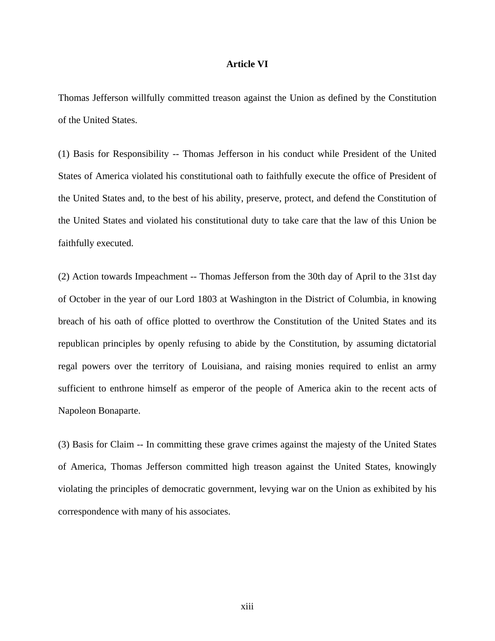#### **Article VI**

Thomas Jefferson willfully committed treason against the Union as defined by the Constitution of the United States.

(1) Basis for Responsibility -- Thomas Jefferson in his conduct while President of the United States of America violated his constitutional oath to faithfully execute the office of President of the United States and, to the best of his ability, preserve, protect, and defend the Constitution of the United States and violated his constitutional duty to take care that the law of this Union be faithfully executed.

(2) Action towards Impeachment -- Thomas Jefferson from the 30th day of April to the 31st day of October in the year of our Lord 1803 at Washington in the District of Columbia, in knowing breach of his oath of office plotted to overthrow the Constitution of the United States and its republican principles by openly refusing to abide by the Constitution, by assuming dictatorial regal powers over the territory of Louisiana, and raising monies required to enlist an army sufficient to enthrone himself as emperor of the people of America akin to the recent acts of Napoleon Bonaparte.

(3) Basis for Claim -- In committing these grave crimes against the majesty of the United States of America, Thomas Jefferson committed high treason against the United States, knowingly violating the principles of democratic government, levying war on the Union as exhibited by his correspondence with many of his associates.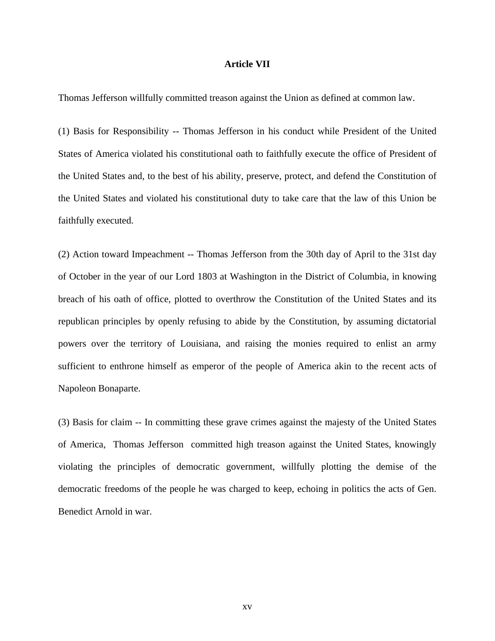#### **Article VII**

Thomas Jefferson willfully committed treason against the Union as defined at common law.

(1) Basis for Responsibility -- Thomas Jefferson in his conduct while President of the United States of America violated his constitutional oath to faithfully execute the office of President of the United States and, to the best of his ability, preserve, protect, and defend the Constitution of the United States and violated his constitutional duty to take care that the law of this Union be faithfully executed.

(2) Action toward Impeachment -- Thomas Jefferson from the 30th day of April to the 31st day of October in the year of our Lord 1803 at Washington in the District of Columbia, in knowing breach of his oath of office, plotted to overthrow the Constitution of the United States and its republican principles by openly refusing to abide by the Constitution, by assuming dictatorial powers over the territory of Louisiana, and raising the monies required to enlist an army sufficient to enthrone himself as emperor of the people of America akin to the recent acts of Napoleon Bonaparte.

(3) Basis for claim -- In committing these grave crimes against the majesty of the United States of America, Thomas Jefferson committed high treason against the United States, knowingly violating the principles of democratic government, willfully plotting the demise of the democratic freedoms of the people he was charged to keep, echoing in politics the acts of Gen. Benedict Arnold in war.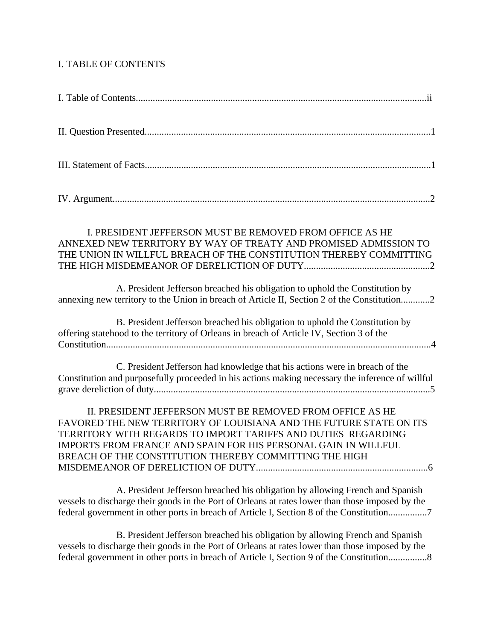## I. TABLE OF CONTENTS

| I. PRESIDENT JEFFERSON MUST BE REMOVED FROM OFFICE AS HE<br>ANNEXED NEW TERRITORY BY WAY OF TREATY AND PROMISED ADMISSION TO<br>THE UNION IN WILLFUL BREACH OF THE CONSTITUTION THEREBY COMMITTING                                                                                                                           |
|------------------------------------------------------------------------------------------------------------------------------------------------------------------------------------------------------------------------------------------------------------------------------------------------------------------------------|
| A. President Jefferson breached his obligation to uphold the Constitution by<br>annexing new territory to the Union in breach of Article II, Section 2 of the Constitution2                                                                                                                                                  |
| B. President Jefferson breached his obligation to uphold the Constitution by<br>offering statehood to the territory of Orleans in breach of Article IV, Section 3 of the                                                                                                                                                     |
| C. President Jefferson had knowledge that his actions were in breach of the<br>Constitution and purposefully proceeded in his actions making necessary the inference of willful                                                                                                                                              |
| II. PRESIDENT JEFFERSON MUST BE REMOVED FROM OFFICE AS HE<br>FAVORED THE NEW TERRITORY OF LOUISIANA AND THE FUTURE STATE ON ITS<br>TERRITORY WITH REGARDS TO IMPORT TARIFFS AND DUTIES REGARDING<br>IMPORTS FROM FRANCE AND SPAIN FOR HIS PERSONAL GAIN IN WILLFUL<br>BREACH OF THE CONSTITUTION THEREBY COMMITTING THE HIGH |
| A. President Jefferson breached his obligation by allowing French and Spanish<br>vessels to discharge their goods in the Port of Orleans at rates lower than those imposed by the                                                                                                                                            |

 B. President Jefferson breached his obligation by allowing French and Spanish vessels to discharge their goods in the Port of Orleans at rates lower than those imposed by the federal government in other ports in breach of Article I, Section 9 of the Constitution................8

federal government in other ports in breach of Article I, Section 8 of the Constitution................7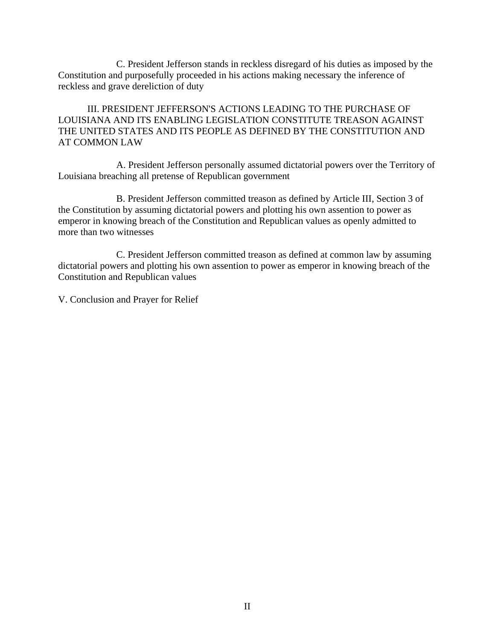C. President Jefferson stands in reckless disregard of his duties as imposed by the Constitution and purposefully proceeded in his actions making necessary the inference of reckless and grave dereliction of duty

 III. PRESIDENT JEFFERSON'S ACTIONS LEADING TO THE PURCHASE OF LOUISIANA AND ITS ENABLING LEGISLATION CONSTITUTE TREASON AGAINST THE UNITED STATES AND ITS PEOPLE AS DEFINED BY THE CONSTITUTION AND AT COMMON LAW

 A. President Jefferson personally assumed dictatorial powers over the Territory of Louisiana breaching all pretense of Republican government

 B. President Jefferson committed treason as defined by Article III, Section 3 of the Constitution by assuming dictatorial powers and plotting his own assention to power as emperor in knowing breach of the Constitution and Republican values as openly admitted to more than two witnesses

 C. President Jefferson committed treason as defined at common law by assuming dictatorial powers and plotting his own assention to power as emperor in knowing breach of the Constitution and Republican values

V. Conclusion and Prayer for Relief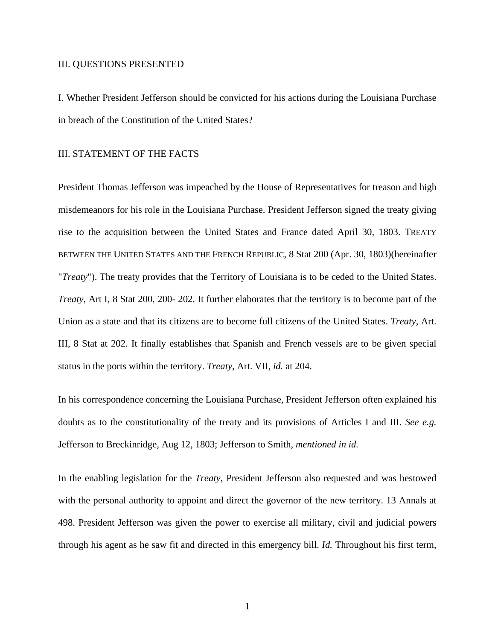#### III. QUESTIONS PRESENTED

I. Whether President Jefferson should be convicted for his actions during the Louisiana Purchase in breach of the Constitution of the United States?

#### III. STATEMENT OF THE FACTS

President Thomas Jefferson was impeached by the House of Representatives for treason and high misdemeanors for his role in the Louisiana Purchase. President Jefferson signed the treaty giving rise to the acquisition between the United States and France dated April 30, 1803. TREATY BETWEEN THE UNITED STATES AND THE FRENCH REPUBLIC, 8 Stat 200 (Apr. 30, 1803)(hereinafter "*Treaty*"). The treaty provides that the Territory of Louisiana is to be ceded to the United States. *Treaty*, Art I, 8 Stat 200, 200- 202. It further elaborates that the territory is to become part of the Union as a state and that its citizens are to become full citizens of the United States. *Treaty*, Art. III, 8 Stat at 202. It finally establishes that Spanish and French vessels are to be given special status in the ports within the territory. *Treaty*, Art. VII, *id.* at 204.

In his correspondence concerning the Louisiana Purchase, President Jefferson often explained his doubts as to the constitutionality of the treaty and its provisions of Articles I and III. *See e.g.*  Jefferson to Breckinridge, Aug 12, 1803; Jefferson to Smith, *mentioned in id.* 

In the enabling legislation for the *Treaty*, President Jefferson also requested and was bestowed with the personal authority to appoint and direct the governor of the new territory. 13 Annals at 498. President Jefferson was given the power to exercise all military, civil and judicial powers through his agent as he saw fit and directed in this emergency bill. *Id.* Throughout his first term,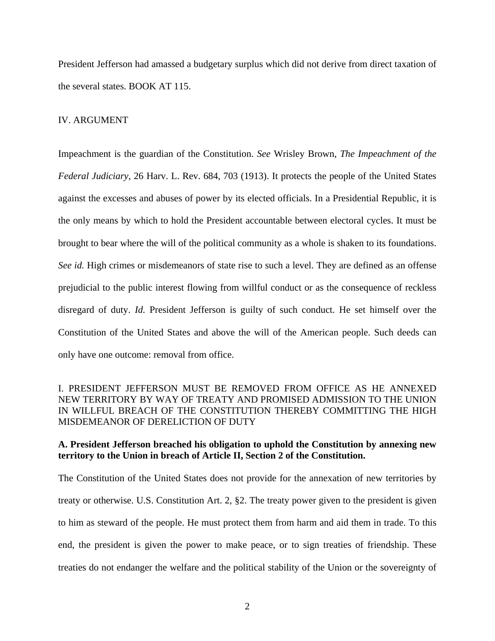President Jefferson had amassed a budgetary surplus which did not derive from direct taxation of the several states. BOOK AT 115.

#### IV. ARGUMENT

Impeachment is the guardian of the Constitution. *See* Wrisley Brown, *The Impeachment of the Federal Judiciary*, 26 Harv. L. Rev. 684, 703 (1913). It protects the people of the United States against the excesses and abuses of power by its elected officials. In a Presidential Republic, it is the only means by which to hold the President accountable between electoral cycles. It must be brought to bear where the will of the political community as a whole is shaken to its foundations. *See id.* High crimes or misdemeanors of state rise to such a level. They are defined as an offense prejudicial to the public interest flowing from willful conduct or as the consequence of reckless disregard of duty. *Id.* President Jefferson is guilty of such conduct. He set himself over the Constitution of the United States and above the will of the American people. Such deeds can only have one outcome: removal from office.

## I. PRESIDENT JEFFERSON MUST BE REMOVED FROM OFFICE AS HE ANNEXED NEW TERRITORY BY WAY OF TREATY AND PROMISED ADMISSION TO THE UNION IN WILLFUL BREACH OF THE CONSTITUTION THEREBY COMMITTING THE HIGH MISDEMEANOR OF DERELICTION OF DUTY

## **A. President Jefferson breached his obligation to uphold the Constitution by annexing new territory to the Union in breach of Article II, Section 2 of the Constitution.**

The Constitution of the United States does not provide for the annexation of new territories by treaty or otherwise. U.S. Constitution Art. 2, §2. The treaty power given to the president is given to him as steward of the people. He must protect them from harm and aid them in trade. To this end, the president is given the power to make peace, or to sign treaties of friendship. These treaties do not endanger the welfare and the political stability of the Union or the sovereignty of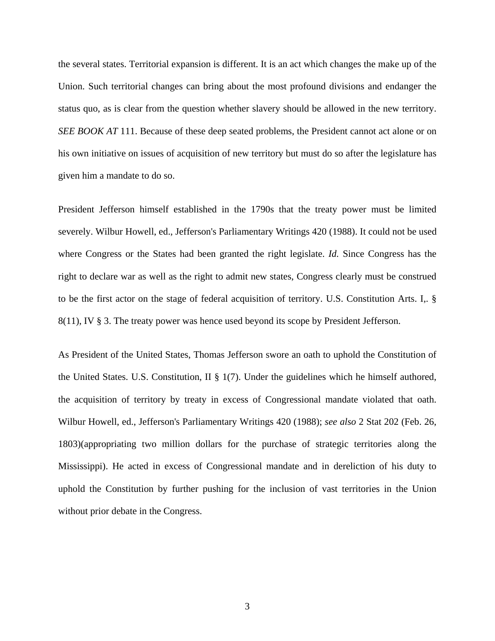the several states. Territorial expansion is different. It is an act which changes the make up of the Union. Such territorial changes can bring about the most profound divisions and endanger the status quo, as is clear from the question whether slavery should be allowed in the new territory. *SEE BOOK AT* 111. Because of these deep seated problems, the President cannot act alone or on his own initiative on issues of acquisition of new territory but must do so after the legislature has given him a mandate to do so.

President Jefferson himself established in the 1790s that the treaty power must be limited severely. Wilbur Howell, ed., Jefferson's Parliamentary Writings 420 (1988). It could not be used where Congress or the States had been granted the right legislate. *Id.* Since Congress has the right to declare war as well as the right to admit new states, Congress clearly must be construed to be the first actor on the stage of federal acquisition of territory. U.S. Constitution Arts. I,. § 8(11), IV § 3. The treaty power was hence used beyond its scope by President Jefferson.

As President of the United States, Thomas Jefferson swore an oath to uphold the Constitution of the United States. U.S. Constitution, II  $\S 1(7)$ . Under the guidelines which he himself authored, the acquisition of territory by treaty in excess of Congressional mandate violated that oath. Wilbur Howell, ed., Jefferson's Parliamentary Writings 420 (1988); *see also* 2 Stat 202 (Feb. 26, 1803)(appropriating two million dollars for the purchase of strategic territories along the Mississippi). He acted in excess of Congressional mandate and in dereliction of his duty to uphold the Constitution by further pushing for the inclusion of vast territories in the Union without prior debate in the Congress.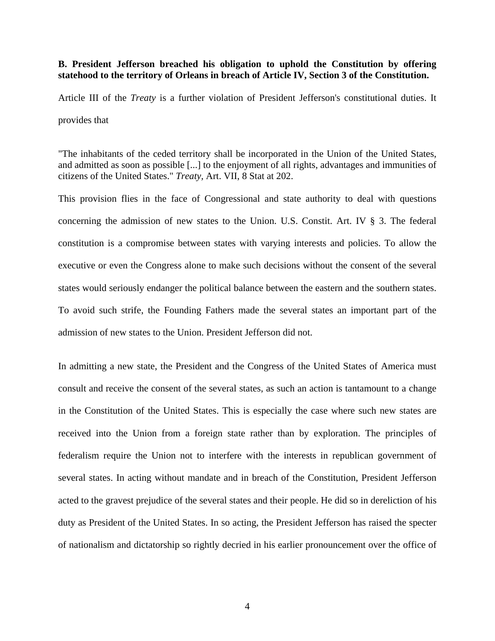#### **B. President Jefferson breached his obligation to uphold the Constitution by offering statehood to the territory of Orleans in breach of Article IV, Section 3 of the Constitution.**

Article III of the *Treaty* is a further violation of President Jefferson's constitutional duties. It provides that

"The inhabitants of the ceded territory shall be incorporated in the Union of the United States, and admitted as soon as possible [...] to the enjoyment of all rights, advantages and immunities of citizens of the United States." *Treaty,* Art. VII, 8 Stat at 202.

This provision flies in the face of Congressional and state authority to deal with questions concerning the admission of new states to the Union. U.S. Constit. Art. IV § 3. The federal constitution is a compromise between states with varying interests and policies. To allow the executive or even the Congress alone to make such decisions without the consent of the several states would seriously endanger the political balance between the eastern and the southern states. To avoid such strife, the Founding Fathers made the several states an important part of the admission of new states to the Union. President Jefferson did not.

In admitting a new state, the President and the Congress of the United States of America must consult and receive the consent of the several states, as such an action is tantamount to a change in the Constitution of the United States. This is especially the case where such new states are received into the Union from a foreign state rather than by exploration. The principles of federalism require the Union not to interfere with the interests in republican government of several states. In acting without mandate and in breach of the Constitution, President Jefferson acted to the gravest prejudice of the several states and their people. He did so in dereliction of his duty as President of the United States. In so acting, the President Jefferson has raised the specter of nationalism and dictatorship so rightly decried in his earlier pronouncement over the office of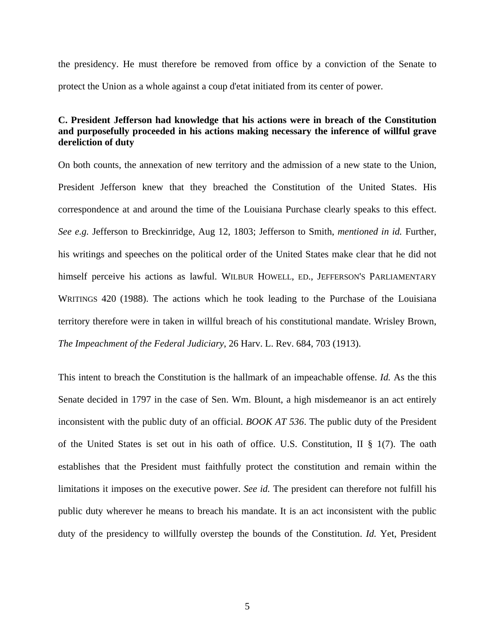the presidency. He must therefore be removed from office by a conviction of the Senate to protect the Union as a whole against a coup d'etat initiated from its center of power.

## **C. President Jefferson had knowledge that his actions were in breach of the Constitution and purposefully proceeded in his actions making necessary the inference of willful grave dereliction of duty**

On both counts, the annexation of new territory and the admission of a new state to the Union, President Jefferson knew that they breached the Constitution of the United States. His correspondence at and around the time of the Louisiana Purchase clearly speaks to this effect. *See e.g.* Jefferson to Breckinridge, Aug 12, 1803; Jefferson to Smith, *mentioned in id.* Further, his writings and speeches on the political order of the United States make clear that he did not himself perceive his actions as lawful. WILBUR HOWELL, ED., JEFFERSON'S PARLIAMENTARY WRITINGS 420 (1988). The actions which he took leading to the Purchase of the Louisiana territory therefore were in taken in willful breach of his constitutional mandate. Wrisley Brown, *The Impeachment of the Federal Judiciary*, 26 Harv. L. Rev. 684, 703 (1913).

This intent to breach the Constitution is the hallmark of an impeachable offense. *Id.* As the this Senate decided in 1797 in the case of Sen. Wm. Blount, a high misdemeanor is an act entirely inconsistent with the public duty of an official. *BOOK AT 536*. The public duty of the President of the United States is set out in his oath of office. U.S. Constitution, II § 1(7). The oath establishes that the President must faithfully protect the constitution and remain within the limitations it imposes on the executive power. *See id.* The president can therefore not fulfill his public duty wherever he means to breach his mandate. It is an act inconsistent with the public duty of the presidency to willfully overstep the bounds of the Constitution. *Id.* Yet, President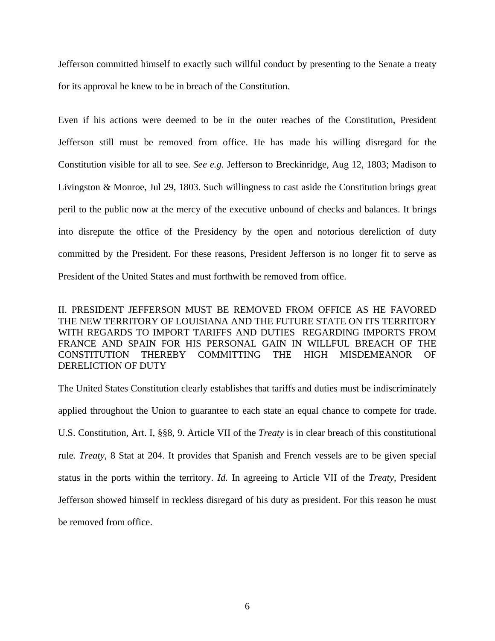Jefferson committed himself to exactly such willful conduct by presenting to the Senate a treaty for its approval he knew to be in breach of the Constitution.

Even if his actions were deemed to be in the outer reaches of the Constitution, President Jefferson still must be removed from office. He has made his willing disregard for the Constitution visible for all to see. *See e.g.* Jefferson to Breckinridge, Aug 12, 1803; Madison to Livingston & Monroe, Jul 29, 1803. Such willingness to cast aside the Constitution brings great peril to the public now at the mercy of the executive unbound of checks and balances. It brings into disrepute the office of the Presidency by the open and notorious dereliction of duty committed by the President. For these reasons, President Jefferson is no longer fit to serve as President of the United States and must forthwith be removed from office.

II. PRESIDENT JEFFERSON MUST BE REMOVED FROM OFFICE AS HE FAVORED THE NEW TERRITORY OF LOUISIANA AND THE FUTURE STATE ON ITS TERRITORY WITH REGARDS TO IMPORT TARIFFS AND DUTIES REGARDING IMPORTS FROM FRANCE AND SPAIN FOR HIS PERSONAL GAIN IN WILLFUL BREACH OF THE CONSTITUTION THEREBY COMMITTING THE HIGH MISDEMEANOR OF DERELICTION OF DUTY

The United States Constitution clearly establishes that tariffs and duties must be indiscriminately applied throughout the Union to guarantee to each state an equal chance to compete for trade. U.S. Constitution, Art. I, §§8, 9. Article VII of the *Treaty* is in clear breach of this constitutional rule. *Treaty*, 8 Stat at 204. It provides that Spanish and French vessels are to be given special status in the ports within the territory. *Id.* In agreeing to Article VII of the *Treaty*, President Jefferson showed himself in reckless disregard of his duty as president. For this reason he must be removed from office.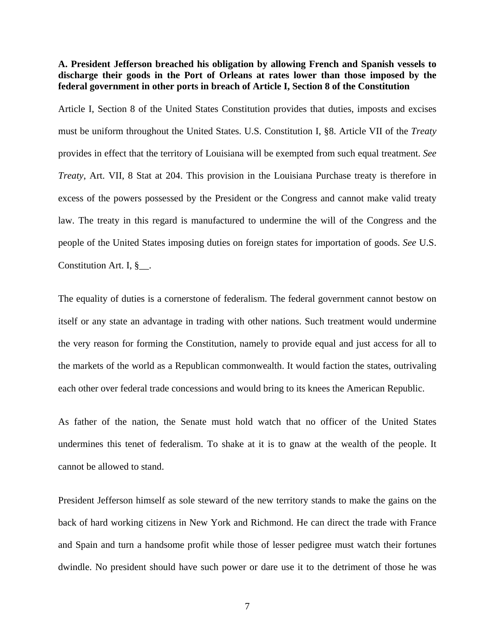**A. President Jefferson breached his obligation by allowing French and Spanish vessels to discharge their goods in the Port of Orleans at rates lower than those imposed by the federal government in other ports in breach of Article I, Section 8 of the Constitution** 

Article I, Section 8 of the United States Constitution provides that duties, imposts and excises must be uniform throughout the United States. U.S. Constitution I, §8. Article VII of the *Treaty* provides in effect that the territory of Louisiana will be exempted from such equal treatment. *See Treaty*, Art. VII, 8 Stat at 204. This provision in the Louisiana Purchase treaty is therefore in excess of the powers possessed by the President or the Congress and cannot make valid treaty law. The treaty in this regard is manufactured to undermine the will of the Congress and the people of the United States imposing duties on foreign states for importation of goods. *See* U.S. Constitution Art. I, §\_\_.

The equality of duties is a cornerstone of federalism. The federal government cannot bestow on itself or any state an advantage in trading with other nations. Such treatment would undermine the very reason for forming the Constitution, namely to provide equal and just access for all to the markets of the world as a Republican commonwealth. It would faction the states, outrivaling each other over federal trade concessions and would bring to its knees the American Republic.

As father of the nation, the Senate must hold watch that no officer of the United States undermines this tenet of federalism. To shake at it is to gnaw at the wealth of the people. It cannot be allowed to stand.

President Jefferson himself as sole steward of the new territory stands to make the gains on the back of hard working citizens in New York and Richmond. He can direct the trade with France and Spain and turn a handsome profit while those of lesser pedigree must watch their fortunes dwindle. No president should have such power or dare use it to the detriment of those he was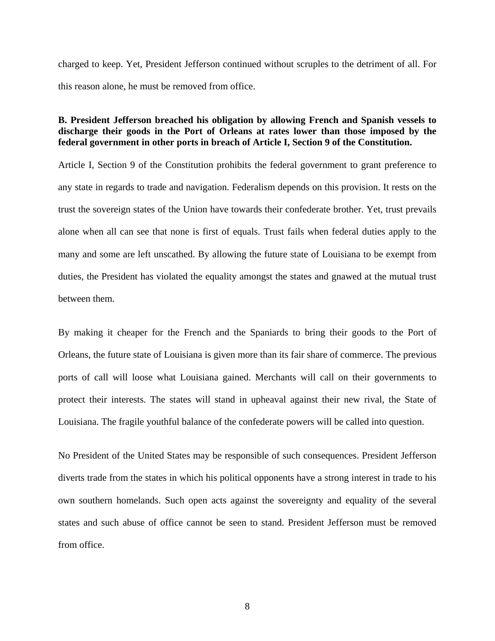charged to keep. Yet, President Jefferson continued without scruples to the detriment of all. For this reason alone, he must be removed from office.

## **B. President Jefferson breached his obligation by allowing French and Spanish vessels to discharge their goods in the Port of Orleans at rates lower than those imposed by the federal government in other ports in breach of Article I, Section 9 of the Constitution.**

Article I, Section 9 of the Constitution prohibits the federal government to grant preference to any state in regards to trade and navigation. Federalism depends on this provision. It rests on the trust the sovereign states of the Union have towards their confederate brother. Yet, trust prevails alone when all can see that none is first of equals. Trust fails when federal duties apply to the many and some are left unscathed. By allowing the future state of Louisiana to be exempt from duties, the President has violated the equality amongst the states and gnawed at the mutual trust between them.

By making it cheaper for the French and the Spaniards to bring their goods to the Port of Orleans, the future state of Louisiana is given more than its fair share of commerce. The previous ports of call will loose what Louisiana gained. Merchants will call on their governments to protect their interests. The states will stand in upheaval against their new rival, the State of Louisiana. The fragile youthful balance of the confederate powers will be called into question.

No President of the United States may be responsible of such consequences. President Jefferson diverts trade from the states in which his political opponents have a strong interest in trade to his own southern homelands. Such open acts against the sovereignty and equality of the several states and such abuse of office cannot be seen to stand. President Jefferson must be removed from office.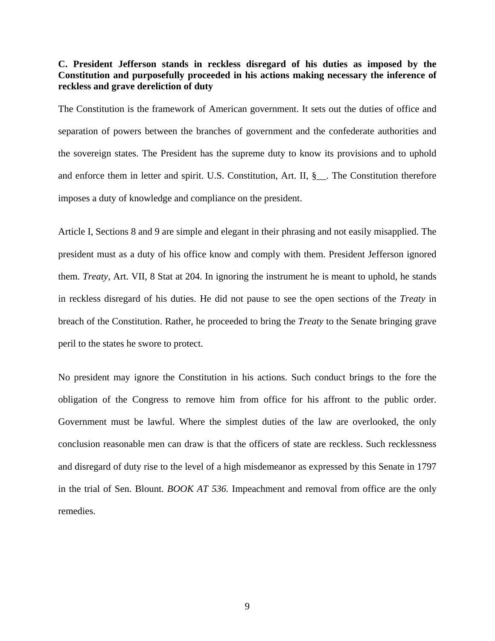## **C. President Jefferson stands in reckless disregard of his duties as imposed by the Constitution and purposefully proceeded in his actions making necessary the inference of reckless and grave dereliction of duty**

The Constitution is the framework of American government. It sets out the duties of office and separation of powers between the branches of government and the confederate authorities and the sovereign states. The President has the supreme duty to know its provisions and to uphold and enforce them in letter and spirit. U.S. Constitution, Art. II, §\_\_. The Constitution therefore imposes a duty of knowledge and compliance on the president.

Article I, Sections 8 and 9 are simple and elegant in their phrasing and not easily misapplied. The president must as a duty of his office know and comply with them. President Jefferson ignored them. *Treaty*, Art. VII, 8 Stat at 204. In ignoring the instrument he is meant to uphold, he stands in reckless disregard of his duties. He did not pause to see the open sections of the *Treaty* in breach of the Constitution. Rather, he proceeded to bring the *Treaty* to the Senate bringing grave peril to the states he swore to protect.

No president may ignore the Constitution in his actions. Such conduct brings to the fore the obligation of the Congress to remove him from office for his affront to the public order. Government must be lawful. Where the simplest duties of the law are overlooked, the only conclusion reasonable men can draw is that the officers of state are reckless. Such recklessness and disregard of duty rise to the level of a high misdemeanor as expressed by this Senate in 1797 in the trial of Sen. Blount. *BOOK AT 536.* Impeachment and removal from office are the only remedies.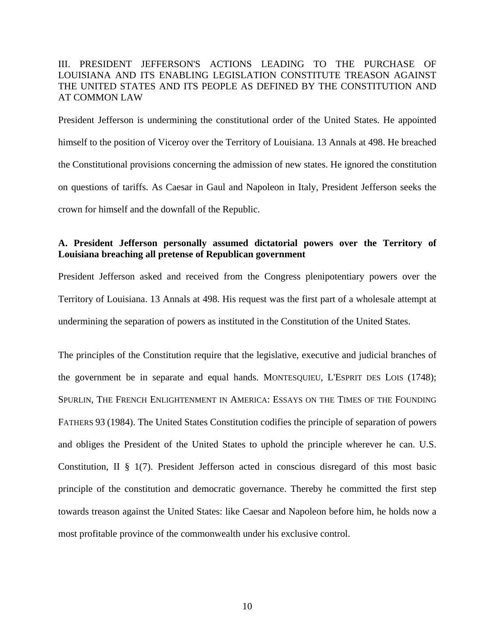## III. PRESIDENT JEFFERSON'S ACTIONS LEADING TO THE PURCHASE OF LOUISIANA AND ITS ENABLING LEGISLATION CONSTITUTE TREASON AGAINST THE UNITED STATES AND ITS PEOPLE AS DEFINED BY THE CONSTITUTION AND AT COMMON LAW

President Jefferson is undermining the constitutional order of the United States. He appointed himself to the position of Viceroy over the Territory of Louisiana. 13 Annals at 498. He breached the Constitutional provisions concerning the admission of new states. He ignored the constitution on questions of tariffs. As Caesar in Gaul and Napoleon in Italy, President Jefferson seeks the crown for himself and the downfall of the Republic.

## **A. President Jefferson personally assumed dictatorial powers over the Territory of Louisiana breaching all pretense of Republican government**

President Jefferson asked and received from the Congress plenipotentiary powers over the Territory of Louisiana. 13 Annals at 498. His request was the first part of a wholesale attempt at undermining the separation of powers as instituted in the Constitution of the United States.

The principles of the Constitution require that the legislative, executive and judicial branches of the government be in separate and equal hands. MONTESQUIEU, L'ESPRIT DES LOIS (1748); SPURLIN, THE FRENCH ENLIGHTENMENT IN AMERICA: ESSAYS ON THE TIMES OF THE FOUNDING FATHERS 93 (1984). The United States Constitution codifies the principle of separation of powers and obliges the President of the United States to uphold the principle wherever he can. U.S. Constitution, II § 1(7). President Jefferson acted in conscious disregard of this most basic principle of the constitution and democratic governance. Thereby he committed the first step towards treason against the United States: like Caesar and Napoleon before him, he holds now a most profitable province of the commonwealth under his exclusive control.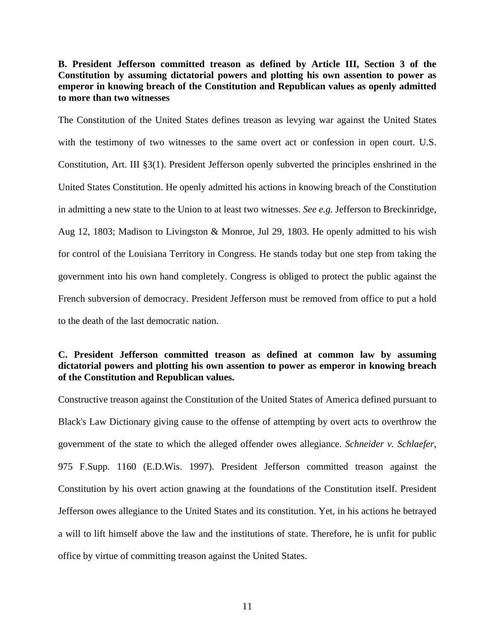**B. President Jefferson committed treason as defined by Article III, Section 3 of the Constitution by assuming dictatorial powers and plotting his own assention to power as emperor in knowing breach of the Constitution and Republican values as openly admitted to more than two witnesses** 

The Constitution of the United States defines treason as levying war against the United States with the testimony of two witnesses to the same overt act or confession in open court. U.S. Constitution, Art. III §3(1). President Jefferson openly subverted the principles enshrined in the United States Constitution. He openly admitted his actions in knowing breach of the Constitution in admitting a new state to the Union to at least two witnesses. *See e.g.* Jefferson to Breckinridge, Aug 12, 1803; Madison to Livingston & Monroe, Jul 29, 1803. He openly admitted to his wish for control of the Louisiana Territory in Congress. He stands today but one step from taking the government into his own hand completely. Congress is obliged to protect the public against the French subversion of democracy. President Jefferson must be removed from office to put a hold to the death of the last democratic nation.

## **C. President Jefferson committed treason as defined at common law by assuming dictatorial powers and plotting his own assention to power as emperor in knowing breach of the Constitution and Republican values.**

Constructive treason against the Constitution of the United States of America defined pursuant to Black's Law Dictionary giving cause to the offense of attempting by overt acts to overthrow the government of the state to which the alleged offender owes allegiance. *Schneider v. Schlaefer*, 975 F.Supp. 1160 (E.D.Wis. 1997). President Jefferson committed treason against the Constitution by his overt action gnawing at the foundations of the Constitution itself. President Jefferson owes allegiance to the United States and its constitution. Yet, in his actions he betrayed a will to lift himself above the law and the institutions of state. Therefore, he is unfit for public office by virtue of committing treason against the United States.